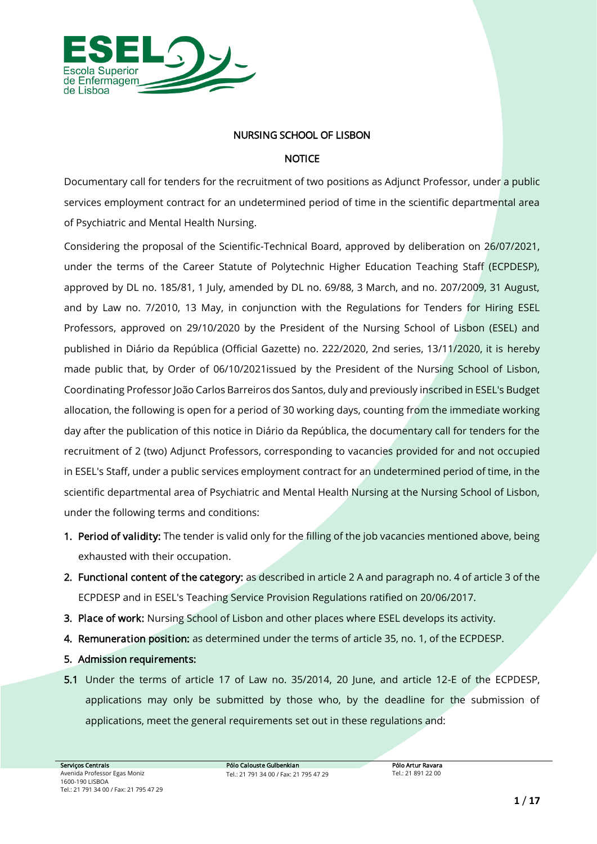

## *NURSING SCHOOL OF LISBON*

## *NOTICE*

*Documentary call for tenders for the recruitment of two positions as Adjunct Professor, under a public services employment contract for an undetermined period of time in the scientific departmental area of Psychiatric and Mental Health Nursing.*

*Considering the proposal of the Scientific-Technical Board, approved by deliberation on 26/07/2021, under the terms of the Career Statute of Polytechnic Higher Education Teaching Staff (ECPDESP), approved by DL no. 185/81, 1 July, amended by DL no. 69/88, 3 March, and no. 207/2009, 31 August, and by Law no. 7/2010, 13 May, in conjunction with the Regulations for Tenders for Hiring ESEL Professors, approved on 29/10/2020 by the President of the Nursing School of Lisbon (ESEL) and published in Diário da República (Official Gazette) no. 222/2020, 2nd series, 13/11/2020, it is hereby made public that, by Order of 06/10/2021issued by the President of the Nursing School of Lisbon, Coordinating Professor João Carlos Barreiros dos Santos, duly and previously inscribed in ESEL's Budget allocation, the following is open for a period of 30 working days, counting from the immediate working day after the publication of this notice in Diário da República, the documentary call for tenders for the recruitment of 2 (two) Adjunct Professors, corresponding to vacancies provided for and not occupied in ESEL's Staff, under a public services employment contract for an undetermined period of time, in the scientific departmental area of Psychiatric and Mental Health Nursing at the Nursing School of Lisbon, under the following terms and conditions:*

- *1. Period of validity: The tender is valid only for the filling of the job vacancies mentioned above, being exhausted with their occupation.*
- *2. Functional content of the category: as described in article 2 A and paragraph no. 4 of article 3 of the ECPDESP and in ESEL's Teaching Service Provision Regulations ratified on 20/06/2017.*
- *3. Place of work: Nursing School of Lisbon and other places where ESEL develops its activity.*
- *4. Remuneration position: as determined under the terms of article 35, no. 1, of the ECPDESP.*
- *5. Admission requirements:*
- *5.1 Under the terms of article 17 of Law no. 35/2014, 20 June, and article 12-E of the ECPDESP,*  applications may only be submitted by those who, by the deadline for the submission of *applications, meet the general requirements set out in these regulations and:*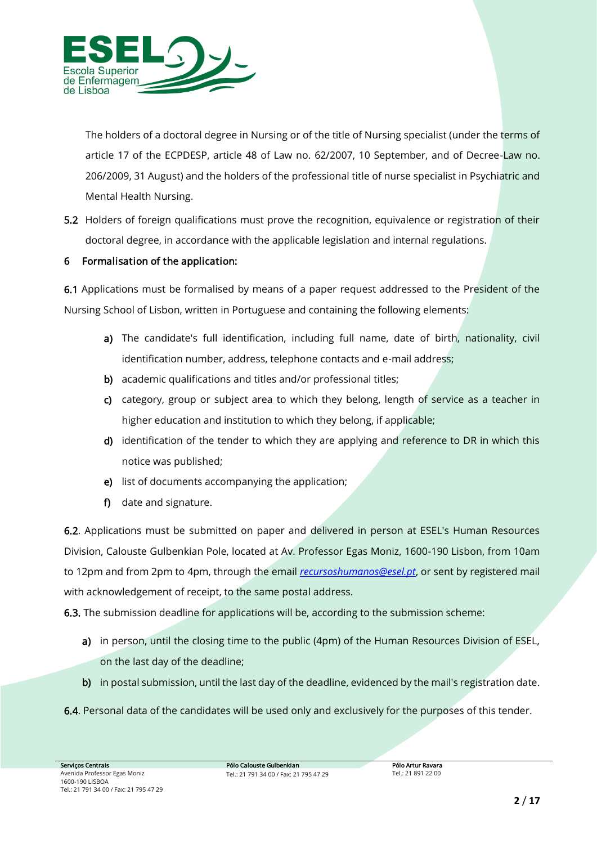

*The holders of a doctoral degree in Nursing or of the title of Nursing specialist (under the terms of article 17 of the ECPDESP, article 48 of Law no. 62/2007, 10 September, and of Decree-Law no. 206/2009, 31 August) and the holders of the professional title of nurse specialist in Psychiatric and Mental Health Nursing.* 

*5.2 Holders of foreign qualifications must prove the recognition, equivalence or registration of their doctoral degree, in accordance with the applicable legislation and internal regulations.*

## *6 Formalisation of the application:*

*6.1 Applications must be formalised by means of a paper request addressed to the President of the Nursing School of Lisbon, written in Portuguese and containing the following elements:* 

- a) The candidate's full identification, including full name, date of birth, nationality, civil *identification number, address, telephone contacts and e-mail address;*
- *b) academic qualifications and titles and/or professional titles;*
- *c) category, group or subject area to which they belong, length of service as a teacher in higher education and institution to which they belong, if applicable;*
- *d) identification of the tender to which they are applying and reference to DR in which this notice was published;*
- *e) list of documents accompanying the application;*
- *f) date and signature.*

*6.2. Applications must be submitted on paper and delivered in person at ESEL's Human Resources Division, Calouste Gulbenkian Pole, located at Av. Professor Egas Moniz, 1600-190 Lisbon, from 10am to 12pm and from 2pm to 4pm, through the email [recursoshumanos@esel.pt](mailto:recursoshumanos@esel.pt), or sent by registered mail with acknowledgement of receipt, to the same postal address.*

*6.3. The submission deadline for applications will be, according to the submission scheme:*

- *a) in person, until the closing time to the public (4pm) of the Human Resources Division of ESEL, on the last day of the deadline;*
- *b) in postal submission, until the last day of the deadline, evidenced by the mail's registration date.*
- *6.4. Personal data of the candidates will be used only and exclusively for the purposes of this tender.*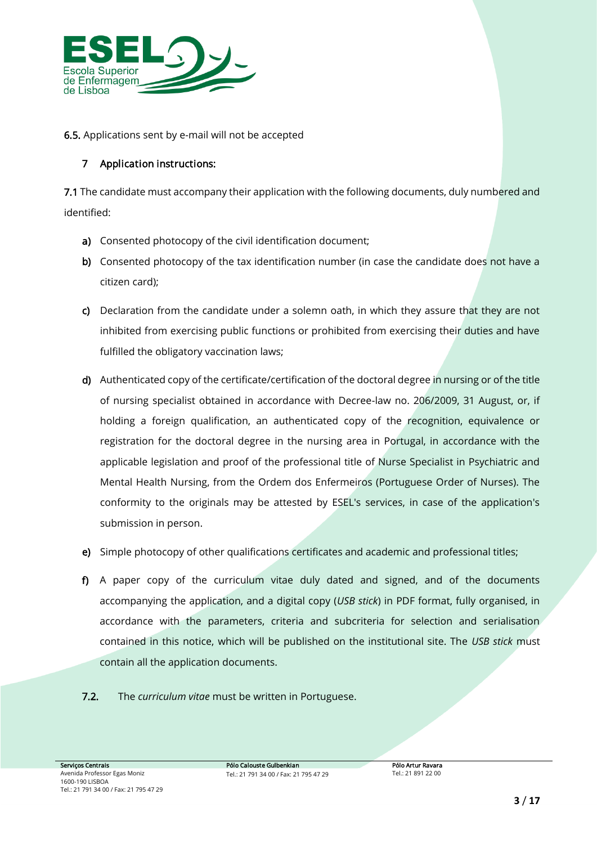

*6.5. Applications sent by e-mail will not be accepted*

# *7 Application instructions:*

*7.1 The candidate must accompany their application with the following documents, duly numbered and identified:*

- *a) Consented photocopy of the civil identification document;*
- *b) Consented photocopy of the tax identification number (in case the candidate does not have a citizen card);*
- *c) Declaration from the candidate under a solemn oath, in which they assure that they are not inhibited from exercising public functions or prohibited from exercising their duties and have fulfilled the obligatory vaccination laws;*
- *d) Authenticated copy of the certificate/certification of the doctoral degree in nursing or of the title of nursing specialist obtained in accordance with Decree-law no. 206/2009, 31 August, or, if holding a foreign qualification, an authenticated copy of the recognition, equivalence or registration for the doctoral degree in the nursing area in Portugal, in accordance with the applicable legislation and proof of the professional title of Nurse Specialist in Psychiatric and Mental Health Nursing, from the Ordem dos Enfermeiros (Portuguese Order of Nurses). The conformity to the originals may be attested by ESEL's services, in case of the application's submission in person.*
- *e) Simple photocopy of other qualifications certificates and academic and professional titles;*
- *f) A paper copy of the curriculum vitae duly dated and signed, and of the documents accompanying the application, and a digital copy (USB stick) in PDF format, fully organised, in accordance with the parameters, criteria and subcriteria for selection and serialisation contained in this notice, which will be published on the institutional site. The USB stick must contain all the application documents.*
- *7.2. The curriculum vitae must be written in Portuguese.*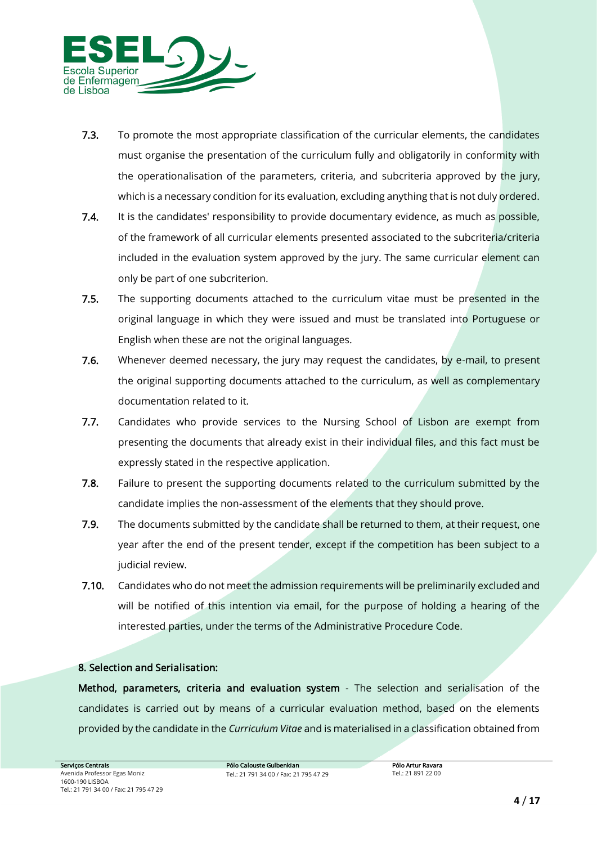

- *7.3. To promote the most appropriate classification of the curricular elements, the candidates must organise the presentation of the curriculum fully and obligatorily in conformity with the operationalisation of the parameters, criteria, and subcriteria approved by the jury, which is a necessary condition for its evaluation, excluding anything that is not duly ordered.*
- *7.4. It is the candidates' responsibility to provide documentary evidence, as much as possible, of the framework of all curricular elements presented associated to the subcriteria/criteria included in the evaluation system approved by the jury. The same curricular element can only be part of one subcriterion.*
- *7.5. The supporting documents attached to the curriculum vitae must be presented in the original language in which they were issued and must be translated into Portuguese or English when these are not the original languages.*
- *7.6. Whenever deemed necessary, the jury may request the candidates, by e-mail, to present the original supporting documents attached to the curriculum, as well as complementary documentation related to it.*
- *7.7. Candidates who provide services to the Nursing School of Lisbon are exempt from presenting the documents that already exist in their individual files, and this fact must be expressly stated in the respective application.*
- *7.8. Failure to present the supporting documents related to the curriculum submitted by the candidate implies the non-assessment of the elements that they should prove.*
- *7.9. The documents submitted by the candidate shall be returned to them, at their request, one year after the end of the present tender, except if the competition has been subject to a judicial review.*
- *7.10. Candidates who do not meet the admission requirements will be preliminarily excluded and will be notified of this intention via email, for the purpose of holding a hearing of the interested parties, under the terms of the Administrative Procedure Code.*

## *8. Selection and Serialisation:*

*Method, parameters, criteria and evaluation system - The selection and serialisation of the candidates is carried out by means of a curricular evaluation method, based on the elements provided by the candidate in the Curriculum Vitae and is materialised in a classification obtained from*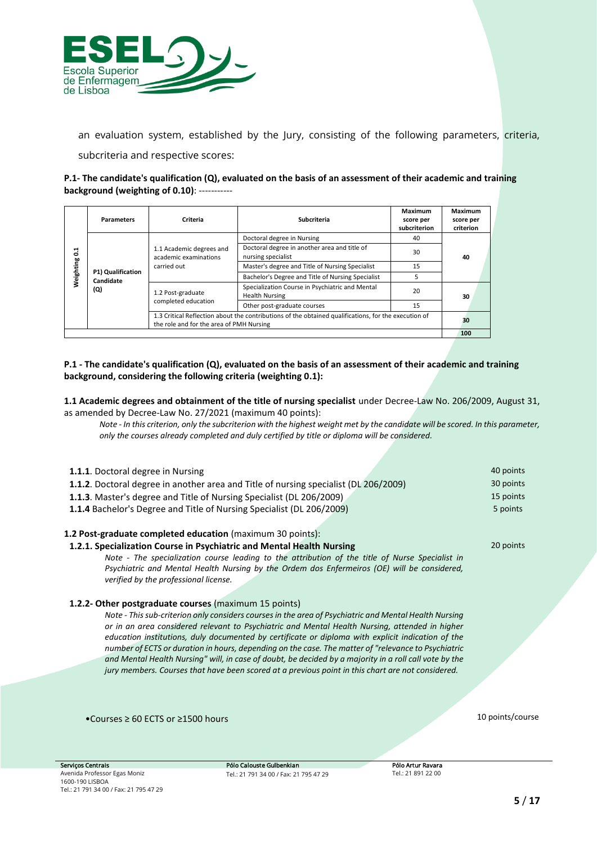

*an evaluation system, established by the Jury, consisting of the following parameters, criteria,* 

*subcriteria and respective scores:*

**P.1- The candidate's qualification (Q), evaluated on the basis of an assessment of their academic and training background (weighting of 0.10)**: -----------

|                             | <b>Parameters</b>                     | Criteria                                                                                                     | Subcriteria                                                                                          | Maximum<br>score per<br>subcriterion | Maximum<br>score per<br>criterion |
|-----------------------------|---------------------------------------|--------------------------------------------------------------------------------------------------------------|------------------------------------------------------------------------------------------------------|--------------------------------------|-----------------------------------|
|                             |                                       | 1.1 Academic degrees and<br>academic examinations<br>carried out<br>1.2 Post-graduate<br>completed education | Doctoral degree in Nursing                                                                           | 40                                   | 40<br>30                          |
| 1.<br>۰<br><b>Weighting</b> | P1) Qualification<br>Candidate<br>(Q) |                                                                                                              | Doctoral degree in another area and title of<br>nursing specialist                                   | 30                                   |                                   |
|                             |                                       |                                                                                                              | Master's degree and Title of Nursing Specialist                                                      | 15                                   |                                   |
|                             |                                       |                                                                                                              | Bachelor's Degree and Title of Nursing Specialist                                                    |                                      |                                   |
|                             |                                       |                                                                                                              | Specialization Course in Psychiatric and Mental<br><b>Health Nursing</b>                             | 20                                   |                                   |
|                             |                                       |                                                                                                              | Other post-graduate courses                                                                          | 15                                   |                                   |
|                             |                                       | the role and for the area of PMH Nursing                                                                     | 1.3 Critical Reflection about the contributions of the obtained qualifications, for the execution of |                                      | 30                                |
|                             |                                       |                                                                                                              |                                                                                                      |                                      | 100                               |

### **P.1 - The candidate's qualification (Q), evaluated on the basis of an assessment of their academic and training background, considering the following criteria (weighting 0.1):**

**1.1 Academic degrees and obtainment of the title of nursing specialist** under Decree-Law No. 206/2009, August 31, as amended by Decree-Law No. 27/2021 (maximum 40 points):

*Note - In this criterion, only the subcriterion with the highest weight met by the candidate will be scored. In this parameter, only the courses already completed and duly certified by title or diploma will be considered.*

| <b>1.1.1.</b> Doctoral degree in Nursing                                             | 40 points |
|--------------------------------------------------------------------------------------|-----------|
| 1.1.2. Doctoral degree in another area and Title of nursing specialist (DL 206/2009) | 30 points |
| <b>1.1.3.</b> Master's degree and Title of Nursing Specialist (DL 206/2009)          | 15 points |
| <b>1.1.4</b> Bachelor's Degree and Title of Nursing Specialist (DL 206/2009)         | 5 points  |
|                                                                                      |           |

### **1.2 Post-graduate completed education** (maximum 30 points):

**1.2.1. Specialization Course in Psychiatric and Mental Health Nursing**

*Note - The specialization course leading to the attribution of the title of Nurse Specialist in Psychiatric and Mental Health Nursing by the Ordem dos Enfermeiros (OE) will be considered, verified by the professional license.*

### **1.2.2- Other postgraduate courses** (maximum 15 points)

*Note - This sub-criterion only considers courses in the area of Psychiatric and Mental Health Nursing or in an area considered relevant to Psychiatric and Mental Health Nursing, attended in higher education institutions, duly documented by certificate or diploma with explicit indication of the number of ECTS or duration in hours, depending on the case. The matter of "relevance to Psychiatric and Mental Health Nursing" will, in case of doubt, be decided by a majority in a roll call vote by the jury members. Courses that have been scored at a previous point in this chart are not considered.*

•Courses ≥ 60 ECTS or ≥1500 hours 10 points/course

20 points

*Serviços Centrais Avenida Professor Egas Moniz 1600-190 LISBOA Tel.: 21 791 34 00 / Fax: 21 795 47 29*

*Pólo Calouste Gulbenkian Tel.: 21 791 34 00 / Fax: 21 795 47 29*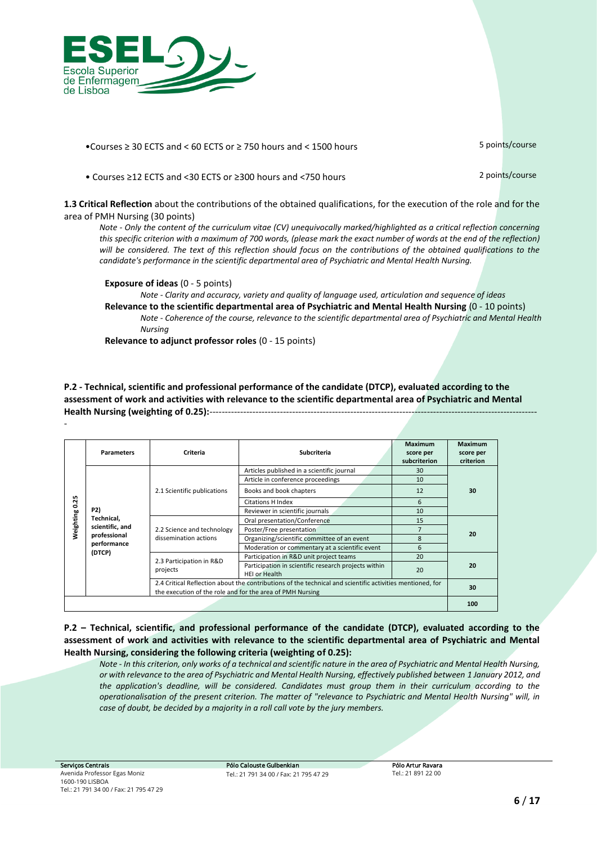

•Courses ≥ 30 ECTS and < 60 ECTS or ≥ 750 hours and < 1500 hours 5 points/course

• Courses ≥12 ECTS and <30 ECTS or ≥300 hours and <750 hours 2 points/course

**1.3 Critical Reflection** about the contributions of the obtained qualifications, for the execution of the role and for the area of PMH Nursing (30 points)

*Note - Only the content of the curriculum vitae (CV) unequivocally marked/highlighted as a critical reflection concerning this specific criterion with a maximum of 700 words, (please mark the exact number of words at the end of the reflection)*  will be considered. The text of this reflection should focus on the contributions of the obtained qualifications to the *candidate's performance in the scientific departmental area of Psychiatric and Mental Health Nursing.*

**Exposure of ideas** (0 - 5 points)

*Note - Clarity and accuracy, variety and quality of language used, articulation and sequence of ideas* **Relevance to the scientific departmental area of Psychiatric and Mental Health Nursing** (0 - 10 points) *Note - Coherence of the course, relevance to the scientific departmental area of Psychiatric and Mental Health Nursing*

**Relevance to adjunct professor roles** (0 - 15 points)

**P.2 - Technical, scientific and professional performance of the candidate (DTCP), evaluated according to the assessment of work and activities with relevance to the scientific departmental area of Psychiatric and Mental Health Nursing (weighting of 0.25):**-----------------------------------------------------------------------------------------------------------

|           | <b>Parameters</b>                                                             | Criteria                                                  | <b>Subcriteria</b>                                                                                        | <b>Maximum</b><br>score per<br>subcriterion | <b>Maximum</b><br>score per<br>criterion |
|-----------|-------------------------------------------------------------------------------|-----------------------------------------------------------|-----------------------------------------------------------------------------------------------------------|---------------------------------------------|------------------------------------------|
|           |                                                                               |                                                           | Articles published in a scientific journal                                                                | 30                                          |                                          |
|           |                                                                               |                                                           | Article in conference proceedings                                                                         | 10                                          |                                          |
|           | P2)<br>Technical,<br>scientific, and<br>professional<br>performance<br>(DTCP) | 2.1 Scientific publications                               | Books and book chapters                                                                                   | 12                                          | 30                                       |
| 0.25      |                                                                               |                                                           | <b>Citations H Index</b>                                                                                  | 6                                           |                                          |
|           |                                                                               |                                                           | Reviewer in scientific journals                                                                           | 10                                          |                                          |
| Neighting |                                                                               | 2.2 Science and technology<br>dissemination actions       | Oral presentation/Conference                                                                              | 15                                          | 20                                       |
|           |                                                                               |                                                           | Poster/Free presentation                                                                                  |                                             |                                          |
|           |                                                                               |                                                           | Organizing/scientific committee of an event                                                               | 8                                           |                                          |
|           |                                                                               |                                                           | Moderation or commentary at a scientific event                                                            | 6                                           |                                          |
|           |                                                                               |                                                           | Participation in R&D unit project teams                                                                   | 20                                          |                                          |
|           |                                                                               | 2.3 Participation in R&D<br>projects                      | Participation in scientific research projects within<br><b>HEI or Health</b>                              | 20                                          | 20                                       |
|           |                                                                               | the execution of the role and for the area of PMH Nursing | 2.4 Critical Reflection about the contributions of the technical and scientific activities mentioned, for |                                             | 30                                       |
|           |                                                                               |                                                           | 100                                                                                                       |                                             |                                          |

**P.2 – Technical, scientific, and professional performance of the candidate (DTCP), evaluated according to the assessment of work and activities with relevance to the scientific departmental area of Psychiatric and Mental Health Nursing, considering the following criteria (weighting of 0.25):**

*Note - In this criterion, only works of a technical and scientific nature in the area of Psychiatric and Mental Health Nursing, or with relevance to the area of Psychiatric and Mental Health Nursing, effectively published between 1 January 2012, and the application's deadline, will be considered. Candidates must group them in their curriculum according to the operationalisation of the present criterion. The matter of "relevance to Psychiatric and Mental Health Nursing" will, in case of doubt, be decided by a majority in a roll call vote by the jury members.*

-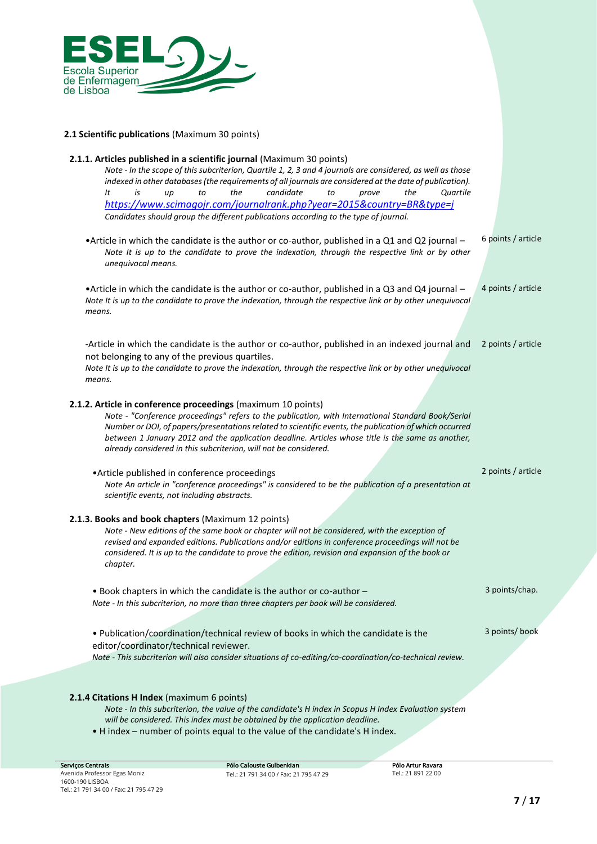

### **2.1 Scientific publications** (Maximum 30 points)

| 2.1.1. Articles published in a scientific journal (Maximum 30 points)<br>Note - In the scope of this subcriterion, Quartile 1, 2, 3 and 4 journals are considered, as well as those                                                                                                                                                                                                                                                                   |                    |
|-------------------------------------------------------------------------------------------------------------------------------------------------------------------------------------------------------------------------------------------------------------------------------------------------------------------------------------------------------------------------------------------------------------------------------------------------------|--------------------|
| indexed in other databases (the requirements of all journals are considered at the date of publication).<br>the<br>It<br>is<br>candidate<br>Quartile<br>to<br>to<br>the<br>up<br>prove                                                                                                                                                                                                                                                                |                    |
| https://www.scimagojr.com/journalrank.php?year=2015&country=BR&type=j                                                                                                                                                                                                                                                                                                                                                                                 |                    |
| Candidates should group the different publications according to the type of journal.                                                                                                                                                                                                                                                                                                                                                                  |                    |
| • Article in which the candidate is the author or co-author, published in a $Q1$ and $Q2$ journal –<br>Note It is up to the candidate to prove the indexation, through the respective link or by other<br>unequivocal means.                                                                                                                                                                                                                          | 6 points / article |
| • Article in which the candidate is the author or co-author, published in a $Q3$ and $Q4$ journal –<br>Note It is up to the candidate to prove the indexation, through the respective link or by other unequivocal<br>means.                                                                                                                                                                                                                          | 4 points / article |
| -Article in which the candidate is the author or co-author, published in an indexed journal and<br>not belonging to any of the previous quartiles.<br>Note It is up to the candidate to prove the indexation, through the respective link or by other unequivocal<br>means.                                                                                                                                                                           | 2 points / article |
| 2.1.2. Article in conference proceedings (maximum 10 points)<br>Note - "Conference proceedings" refers to the publication, with International Standard Book/Serial<br>Number or DOI, of papers/presentations related to scientific events, the publication of which occurred<br>between 1 January 2012 and the application deadline. Articles whose title is the same as another,<br>already considered in this subcriterion, will not be considered. |                    |
| • Article published in conference proceedings<br>Note An article in "conference proceedings" is considered to be the publication of a presentation at<br>scientific events, not including abstracts.                                                                                                                                                                                                                                                  | 2 points / article |
| 2.1.3. Books and book chapters (Maximum 12 points)<br>Note - New editions of the same book or chapter will not be considered, with the exception of<br>revised and expanded editions. Publications and/or editions in conference proceedings will not be<br>considered. It is up to the candidate to prove the edition, revision and expansion of the book or<br>chapter.                                                                             |                    |
| . Book chapters in which the candidate is the author or co-author -<br>Note - In this subcriterion, no more than three chapters per book will be considered.                                                                                                                                                                                                                                                                                          | 3 points/chap.     |
| . Publication/coordination/technical review of books in which the candidate is the<br>editor/coordinator/technical reviewer.<br>Note - This subcriterion will also consider situations of co-editing/co-coordination/co-technical review.                                                                                                                                                                                                             | 3 points/ book     |
| 2.1.4 Citations H Index (maximum 6 points)<br>Note - In this subcriterion, the value of the candidate's H index in Scopus H Index Evaluation system<br>will be considered. This index must be obtained by the application deadline.<br>. H index - number of points equal to the value of the candidate's H index.                                                                                                                                    |                    |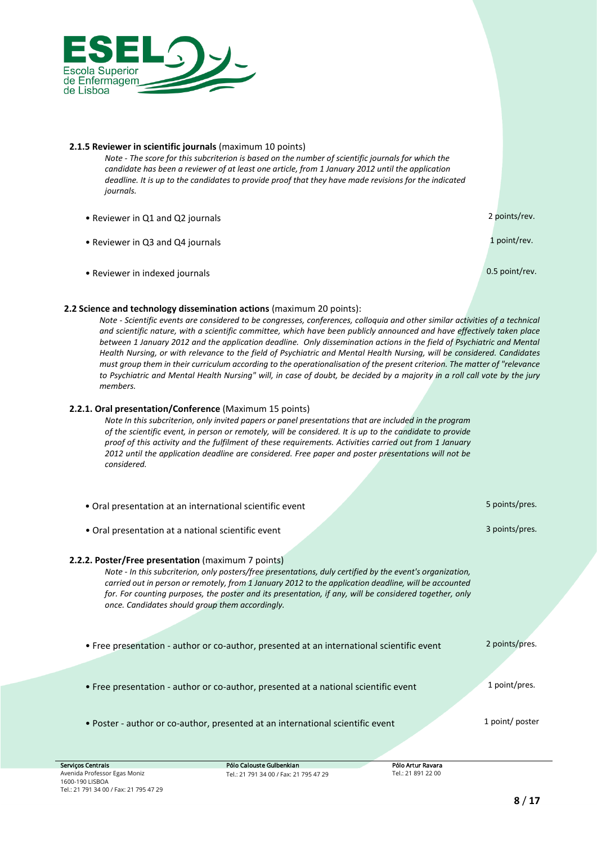

### **2.1.5 Reviewer in scientific journals** (maximum 10 points)

*Note - The score for this subcriterion is based on the number of scientific journals for which the candidate has been a reviewer of at least one article, from 1 January 2012 until the application deadline. It is up to the candidates to provide proof that they have made revisions for the indicated journals.*

- Reviewer in Q1 and Q2 journals 2 points/rev.
- 
- Reviewer in indexed journals **but a strategies of the contract of the contract of the contract of the contract of the contract of the contract of the contract of the contract of the contract of the contract of the contra**

• Reviewer in Q3 and Q4 journals 1 point/rev.

### **2.2 Science and technology dissemination actions** (maximum 20 points):

*Note - Scientific events are considered to be congresses, conferences, colloquia and other similar activities of a technical and scientific nature, with a scientific committee, which have been publicly announced and have effectively taken place between 1 January 2012 and the application deadline. Only dissemination actions in the field of Psychiatric and Mental Health Nursing, or with relevance to the field of Psychiatric and Mental Health Nursing, will be considered. Candidates must group them in their curriculum according to the operationalisation of the present criterion. The matter of "relevance to Psychiatric and Mental Health Nursing" will, in case of doubt, be decided by a majority in a roll call vote by the jury members.*

### **2.2.1. Oral presentation/Conference** (Maximum 15 points)

*Note In this subcriterion, only invited papers or panel presentations that are included in the program of the scientific event, in person or remotely, will be considered. It is up to the candidate to provide proof of this activity and the fulfilment of these requirements. Activities carried out from 1 January 2012 until the application deadline are considered. Free paper and poster presentations will not be considered.*

| Pólo Calouste Gulbenkian<br>vicos Centrais                                                                   | Pólo Artur Ravara                                                                                                                                                                                                                                                                                                            |                 |
|--------------------------------------------------------------------------------------------------------------|------------------------------------------------------------------------------------------------------------------------------------------------------------------------------------------------------------------------------------------------------------------------------------------------------------------------------|-----------------|
| • Poster - author or co-author, presented at an international scientific event                               |                                                                                                                                                                                                                                                                                                                              | 1 point/ poster |
| • Free presentation - author or co-author, presented at a national scientific event                          |                                                                                                                                                                                                                                                                                                                              | 1 point/pres.   |
| • Free presentation - author or co-author, presented at an international scientific event                    |                                                                                                                                                                                                                                                                                                                              | 2 points/pres.  |
| <b>2.2.2. Poster/Free presentation</b> (maximum 7 points)<br>once. Candidates should group them accordingly. | Note - In this subcriterion, only posters/free presentations, duly certified by the event's organization,<br>carried out in person or remotely, from 1 January 2012 to the application deadline, will be accounted<br>for. For counting purposes, the poster and its presentation, if any, will be considered together, only |                 |
| • Oral presentation at a national scientific event                                                           |                                                                                                                                                                                                                                                                                                                              | 3 points/pres.  |
| • Oral presentation at an international scientific event                                                     |                                                                                                                                                                                                                                                                                                                              | 5 points/pres.  |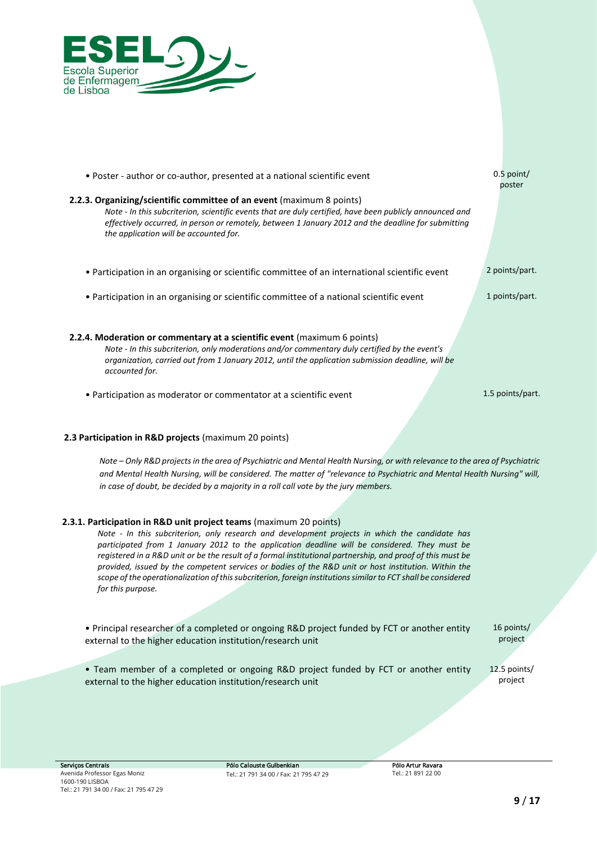

| • Poster - author or co-author, presented at a national scientific event                                                                                                                                                                                                                                                           | $0.5$ point/<br>poster |
|------------------------------------------------------------------------------------------------------------------------------------------------------------------------------------------------------------------------------------------------------------------------------------------------------------------------------------|------------------------|
| 2.2.3. Organizing/scientific committee of an event (maximum 8 points)<br>Note - In this subcriterion, scientific events that are duly certified, have been publicly announced and<br>effectively occurred, in person or remotely, between 1 January 2012 and the deadline for submitting<br>the application will be accounted for. |                        |
| • Participation in an organising or scientific committee of an international scientific event                                                                                                                                                                                                                                      | 2 points/part.         |
| • Participation in an organising or scientific committee of a national scientific event                                                                                                                                                                                                                                            | 1 points/part.         |
| 2.2.4. Moderation or commentary at a scientific event (maximum 6 points)<br>Note - In this subcriterion, only moderations and/or commentary duly certified by the event's<br>organization, carried out from 1 January 2012, until the application submission deadline, will be<br>accounted for.                                   |                        |
| • Participation as moderator or commentator at a scientific event                                                                                                                                                                                                                                                                  | 1.5 points/part.       |

### **2.3 Participation in R&D projects** (maximum 20 points)

*Note – Only R&D projects in the area of Psychiatric and Mental Health Nursing, or with relevance to the area of Psychiatric and Mental Health Nursing, will be considered. The matter of "relevance to Psychiatric and Mental Health Nursing" will, in case of doubt, be decided by a majority in a roll call vote by the jury members.*

#### **2.3.1. Participation in R&D unit project teams** (maximum 20 points)

*Note - In this subcriterion, only research and development projects in which the candidate has participated from 1 January 2012 to the application deadline will be considered. They must be registered in a R&D unit or be the result of a formal institutional partnership, and proof of this must be provided, issued by the competent services or bodies of the R&D unit or host institution. Within the scope of the operationalization of this subcriterion, foreign institutions similar to FCT shall be considered for this purpose.*

• Principal researcher of a completed or ongoing R&D project funded by FCT or another entity external to the higher education institution/research unit

• Team member of a completed or ongoing R&D project funded by FCT or another entity external to the higher education institution/research unit

16 points/ project

12.5 points/ project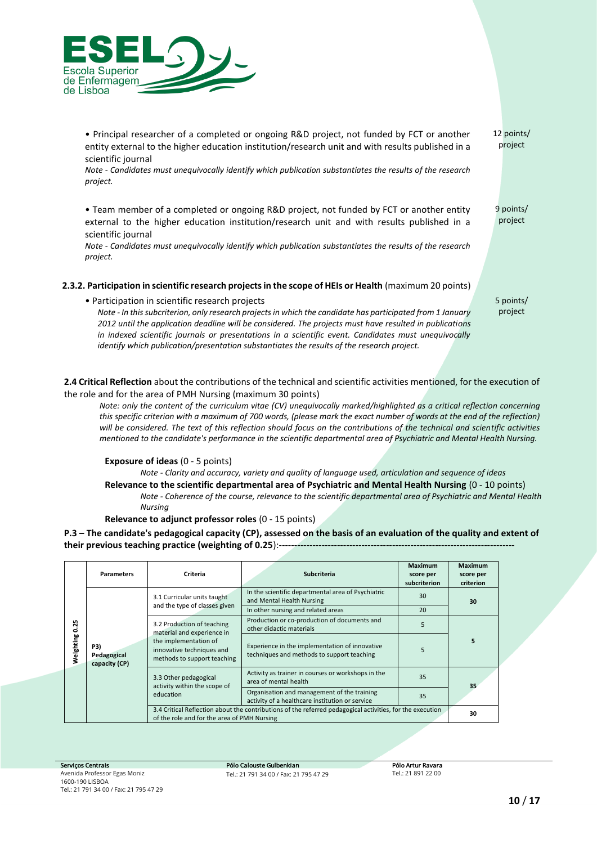

• Principal researcher of a completed or ongoing R&D project, not funded by FCT or another entity external to the higher education institution/research unit and with results published in a scientific journal *Note - Candidates must unequivocally identify which publication substantiates the results of the research project.* 12 points/ project • Team member of a completed or ongoing R&D project, not funded by FCT or another entity external to the higher education institution/research unit and with results published in a scientific journal *Note - Candidates must unequivocally identify which publication substantiates the results of the research project.* 9 points/ project **2.3.2. Participation in scientific research projects in the scope of HEIs or Health** (maximum 20 points) • Participation in scientific research projects *Note - In this subcriterion, only research projects in which the candidate has participated from 1 January 2012 until the application deadline will be considered. The projects must have resulted in publications in indexed scientific journals or presentations in a scientific event. Candidates must unequivocally identify which publication/presentation substantiates the results of the research project.* 5 points/ project

**2.4 Critical Reflection** about the contributions of the technical and scientific activities mentioned, for the execution of the role and for the area of PMH Nursing (maximum 30 points)

*Note: only the content of the curriculum vitae (CV) unequivocally marked/highlighted as a critical reflection concerning this specific criterion with a maximum of 700 words, (please mark the exact number of words at the end of the reflection) will be considered. The text of this reflection should focus on the contributions of the technical and scientific activities mentioned to the candidate's performance in the scientific departmental area of Psychiatric and Mental Health Nursing.*

#### **Exposure of ideas** (0 - 5 points)

*Note - Clarity and accuracy, variety and quality of language used, articulation and sequence of ideas*

**Relevance to the scientific departmental area of Psychiatric and Mental Health Nursing** (0 - 10 points) *Note - Coherence of the course, relevance to the scientific departmental area of Psychiatric and Mental Health Nursing*

**Relevance to adjunct professor roles** (0 - 15 points)

### **P.3 – The candidate's pedagogical capacity (CP), assessed on the basis of an evaluation of the quality and extent of their previous teaching practice (weighting of 0.25**):-----------------------------------------------------------------------------

|           | <b>Parameters</b>                   | Criteria                                                                                                                                      | <b>Subcriteria</b>                                                                                        | Maximum<br>score per<br>subcriterion                                        | <b>Maximum</b><br>score per<br>criterion |    |
|-----------|-------------------------------------|-----------------------------------------------------------------------------------------------------------------------------------------------|-----------------------------------------------------------------------------------------------------------|-----------------------------------------------------------------------------|------------------------------------------|----|
|           | P3)<br>Pedagogical<br>capacity (CP) | 3.1 Curricular units taught                                                                                                                   | In the scientific departmental area of Psychiatric<br>and Mental Health Nursing                           | 30                                                                          | 30                                       |    |
|           |                                     | and the type of classes given                                                                                                                 | In other nursing and related areas                                                                        | 20                                                                          |                                          |    |
| m<br>징    |                                     | 3.2 Production of teaching<br>material and experience in<br>the implementation of<br>innovative techniques and<br>methods to support teaching | Production or co-production of documents and<br>other didactic materials                                  | 5                                                                           | 5                                        |    |
| Weighting |                                     |                                                                                                                                               | Experience in the implementation of innovative<br>techniques and methods to support teaching              | 5                                                                           |                                          |    |
|           |                                     | 3.3 Other pedagogical                                                                                                                         | activity within the scope of                                                                              | Activity as trainer in courses or workshops in the<br>area of mental health | 35                                       | 35 |
|           |                                     | education                                                                                                                                     | Organisation and management of the training<br>activity of a healthcare institution or service            | 35                                                                          |                                          |    |
|           |                                     | of the role and for the area of PMH Nursing                                                                                                   | 3.4 Critical Reflection about the contributions of the referred pedagogical activities, for the execution |                                                                             | 30                                       |    |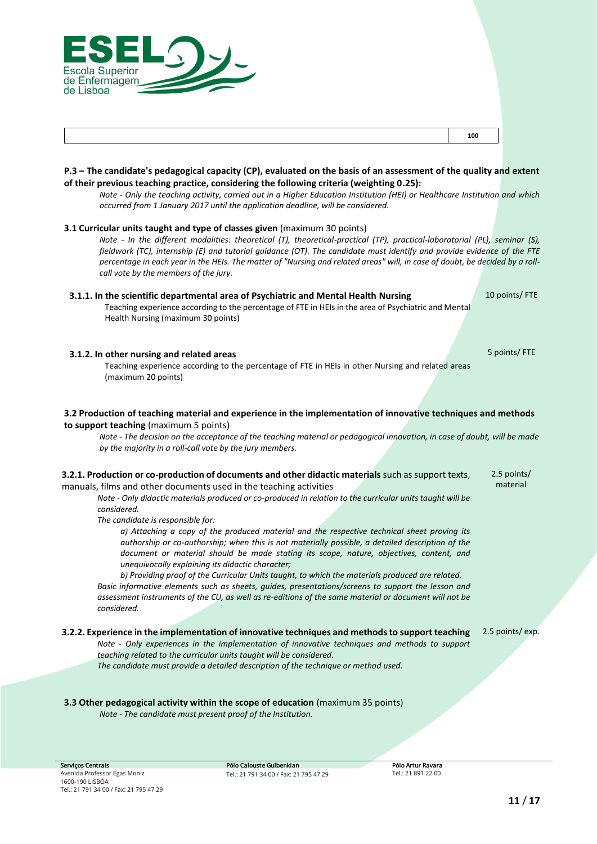

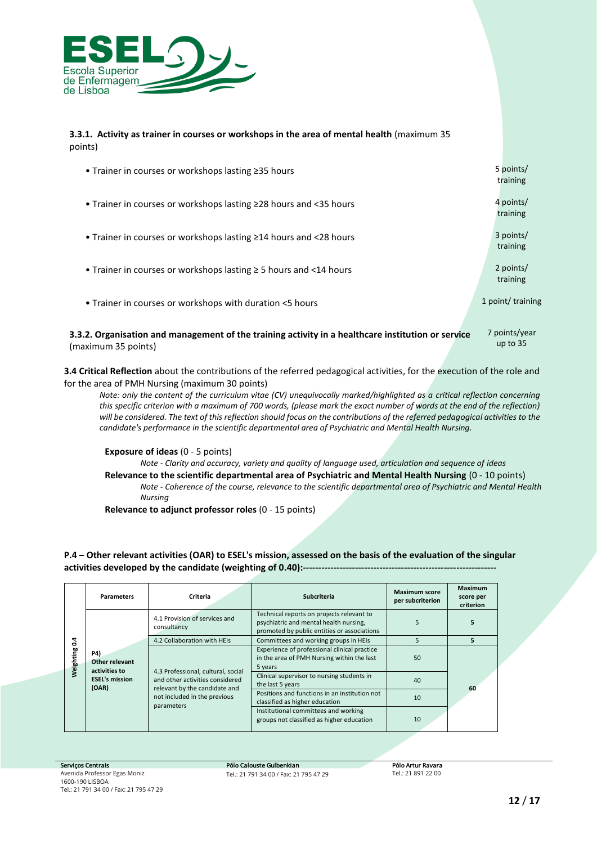

#### **3.3.1. Activity as trainer in courses or workshops in the area of mental health** (maximum 35 points)

| • Trainer in courses or workshops lasting $\geq$ 35 hours               | 5 points/<br>training |
|-------------------------------------------------------------------------|-----------------------|
| • Trainer in courses or workshops lasting $\geq$ 28 hours and <35 hours | 4 points/<br>training |
| • Trainer in courses or workshops lasting $\geq$ 14 hours and <28 hours | 3 points/<br>training |
| • Trainer in courses or workshops lasting $\geq$ 5 hours and <14 hours  | 2 points/<br>training |
| • Trainer in courses or workshops with duration <5 hours                | 1 point/ training     |

**3.3.2. Organisation and management of the training activity in a healthcare institution or service**  (maximum 35 points) 7 points/year up to 35

**3.4 Critical Reflection** about the contributions of the referred pedagogical activities, for the execution of the role and for the area of PMH Nursing (maximum 30 points)

*Note: only the content of the curriculum vitae (CV) unequivocally marked/highlighted as a critical reflection concerning this specific criterion with a maximum of 700 words, (please mark the exact number of words at the end of the reflection) will be considered. The text of this reflection should focus on the contributions of the referred pedagogical activities to the candidate's performance in the scientific departmental area of Psychiatric and Mental Health Nursing.*

**Exposure of ideas** (0 - 5 points)

*Note - Clarity and accuracy, variety and quality of language used, articulation and sequence of ideas* **Relevance to the scientific departmental area of Psychiatric and Mental Health Nursing** (0 - 10 points) *Note - Coherence of the course, relevance to the scientific departmental area of Psychiatric and Mental Health Nursing*

**Relevance to adjunct professor roles** (0 - 15 points)

### **P.4 – Other relevant activities (OAR) to ESEL's mission, assessed on the basis of the evaluation of the singular activities developed by the candidate (weighting of 0.40):---------------------------------------------------------------**

| Weighting 0.4 | <b>Parameters</b>                                                                                                              | Criteria                                                              | Subcriteria                                                                                                                        | <b>Maximum score</b><br>per subcriterion                                                              | <b>Maximum</b><br>score per<br>criterion |  |
|---------------|--------------------------------------------------------------------------------------------------------------------------------|-----------------------------------------------------------------------|------------------------------------------------------------------------------------------------------------------------------------|-------------------------------------------------------------------------------------------------------|------------------------------------------|--|
|               |                                                                                                                                | 4.1 Provision of services and<br>consultancy                          | Technical reports on projects relevant to<br>psychiatric and mental health nursing,<br>promoted by public entities or associations | 5                                                                                                     |                                          |  |
|               |                                                                                                                                | 4.2 Collaboration with HEIs                                           | Committees and working groups in HEIs                                                                                              | 5                                                                                                     | 5                                        |  |
|               | <b>P4)</b><br>Other relevant<br>activities to<br><b>ESEL's mission</b><br>(OAR)<br>relevant by the candidate and<br>parameters | 4.3 Professional, cultural, social<br>and other activities considered |                                                                                                                                    | Experience of professional clinical practice<br>in the area of PMH Nursing within the last<br>5 years | 50                                       |  |
|               |                                                                                                                                |                                                                       | Clinical supervisor to nursing students in<br>the last 5 years                                                                     | 40                                                                                                    | 60                                       |  |
|               |                                                                                                                                | not included in the previous                                          | Positions and functions in an institution not<br>classified as higher education                                                    | 10                                                                                                    |                                          |  |
|               |                                                                                                                                |                                                                       | Institutional committees and working<br>groups not classified as higher education                                                  | 10                                                                                                    |                                          |  |

*Pólo Calouste Gulbenkian Tel.: 21 791 34 00 / Fax: 21 795 47 29*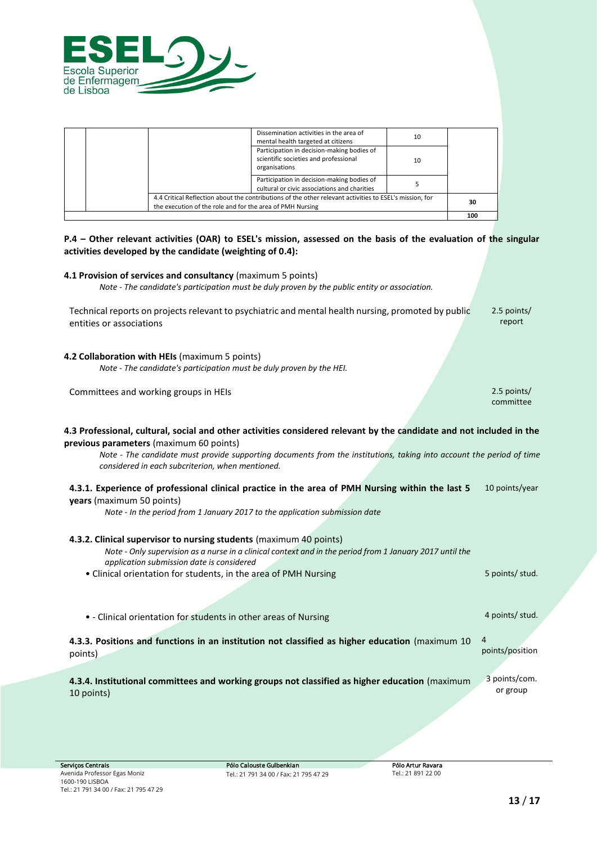

|                                                                                                                                                                      |    | 100 |
|----------------------------------------------------------------------------------------------------------------------------------------------------------------------|----|-----|
| 4.4 Critical Reflection about the contributions of the other relevant activities to ESEL's mission, for<br>the execution of the role and for the area of PMH Nursing |    | 30  |
| Participation in decision-making bodies of<br>cultural or civic associations and charities                                                                           |    |     |
| Participation in decision-making bodies of<br>scientific societies and professional<br>organisations                                                                 | 10 |     |
| Dissemination activities in the area of<br>mental health targeted at citizens                                                                                        | 10 |     |

## **P.4 – Other relevant activities (OAR) to ESEL's mission, assessed on the basis of the evaluation of the singular activities developed by the candidate (weighting of 0.4):**

| 2.5 points/<br>report                                                                                                |
|----------------------------------------------------------------------------------------------------------------------|
|                                                                                                                      |
| 2.5 points/<br>committee                                                                                             |
| 4.3 Professional, cultural, social and other activities considered relevant by the candidate and not included in the |
| Note - The candidate must provide supporting documents from the institutions, taking into account the period of time |
| 10 points/year                                                                                                       |
|                                                                                                                      |
| 5 points/ stud.                                                                                                      |
| 4 points/ stud.                                                                                                      |
| 4<br>points/position                                                                                                 |
| 3 points/com.<br>or group                                                                                            |
|                                                                                                                      |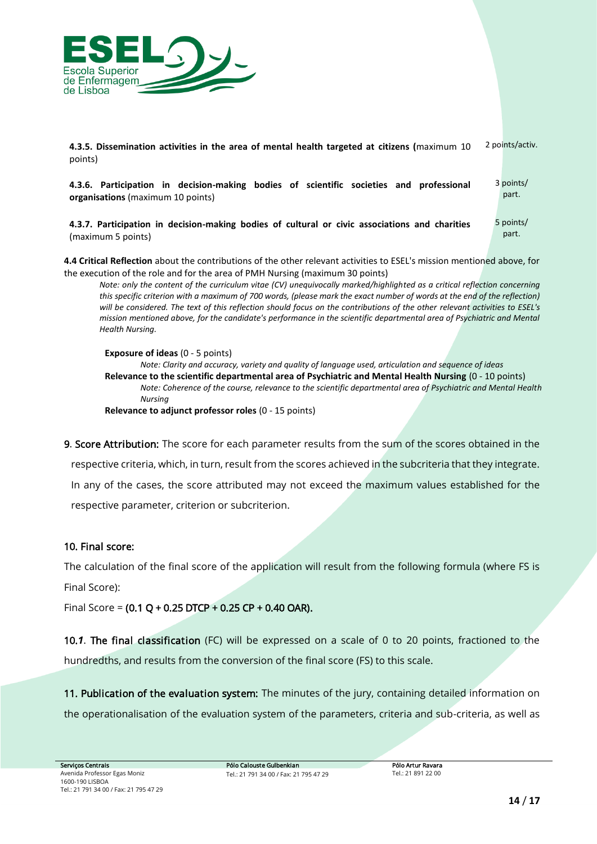

**4.3.5. Dissemination activities in the area of mental health targeted at citizens (**maximum 10 points) 2 points/activ.

**4.3.6. Participation in decision-making bodies of scientific societies and professional organisations** (maximum 10 points) 3 points/ part.

**4.3.7. Participation in decision-making bodies of cultural or civic associations and charities**  (maximum 5 points)

**4.4 Critical Reflection** about the contributions of the other relevant activities to ESEL's mission mentioned above, for the execution of the role and for the area of PMH Nursing (maximum 30 points)

*Note: only the content of the curriculum vitae (CV) unequivocally marked/highlighted as a critical reflection concerning this specific criterion with a maximum of 700 words, (please mark the exact number of words at the end of the reflection) will be considered. The text of this reflection should focus on the contributions of the other relevant activities to ESEL's mission mentioned above, for the candidate's performance in the scientific departmental area of Psychiatric and Mental Health Nursing.*

**Exposure of ideas** (0 - 5 points) *Note: Clarity and accuracy, variety and quality of language used, articulation and sequence of ideas* **Relevance to the scientific departmental area of Psychiatric and Mental Health Nursing** (0 - 10 points) *Note: Coherence of the course, relevance to the scientific departmental area of Psychiatric and Mental Health Nursing* **Relevance to adjunct professor roles** (0 - 15 points)

*9. Score Attribution: The score for each parameter results from the sum of the scores obtained in the respective criteria, which, in turn, result from the scores achieved in the subcriteria that they integrate. In any of the cases, the score attributed may not exceed the maximum values established for the respective parameter, criterion or subcriterion.*

## *10. Final score:*

*The calculation of the final score of the application will result from the following formula (where FS is Final Score):* 

*Final Score = (0.1 Q + 0.25 DTCP + 0.25 CP + 0.40 OAR).* 

*10.1. The final classification (FC) will be expressed on a scale of 0 to 20 points, fractioned to the hundredths, and results from the conversion of the final score (FS) to this scale.* 

*11. Publication of the evaluation system: The minutes of the jury, containing detailed information on the operationalisation of the evaluation system of the parameters, criteria and sub-criteria, as well as* 

5 points/ part.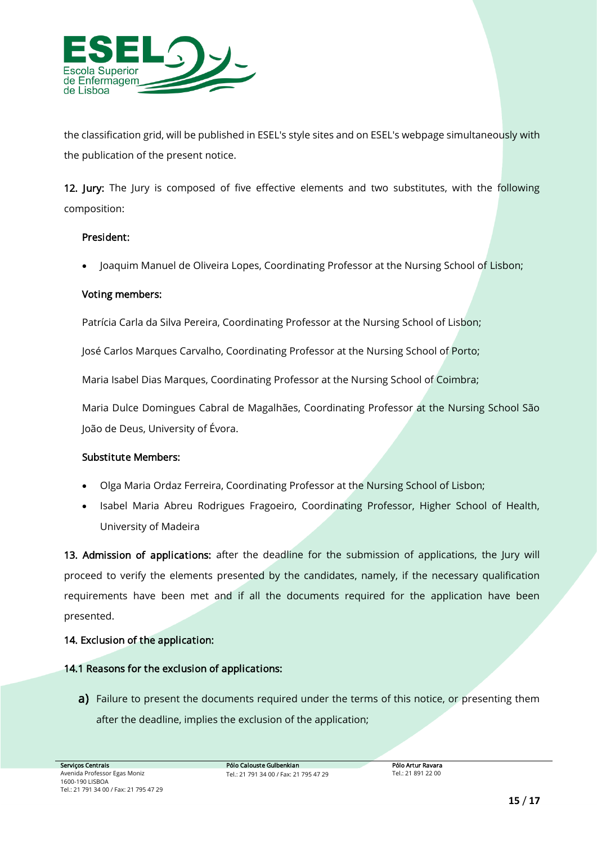

*the classification grid, will be published in ESEL's style sites and on ESEL's webpage simultaneously with the publication of the present notice.* 

*12. Jury: The Jury is composed of five effective elements and two substitutes, with the following composition:* 

## *President:*

• *Joaquim Manuel de Oliveira Lopes, Coordinating Professor at the Nursing School of Lisbon;*

## *Voting members:*

*Patrícia Carla da Silva Pereira, Coordinating Professor at the Nursing School of Lisbon;*

*José Carlos Marques Carvalho, Coordinating Professor at the Nursing School of Porto;*

*Maria Isabel Dias Marques, Coordinating Professor at the Nursing School of Coimbra;*

*Maria Dulce Domingues Cabral de Magalhães, Coordinating Professor at the Nursing School São João de Deus, University of Évora.*

## *Substitute Members:*

- *Olga Maria Ordaz Ferreira, Coordinating Professor at the Nursing School of Lisbon;*
- *Isabel Maria Abreu Rodrigues Fragoeiro, Coordinating Professor, Higher School of Health, University of Madeira*

*13. Admission of applications: after the deadline for the submission of applications, the Jury will proceed to verify the elements presented by the candidates, namely, if the necessary qualification requirements have been met and if all the documents required for the application have been presented.*

## *14. Exclusion of the application:*

## *14.1 Reasons for the exclusion of applications:*

**a)** Failure to present the documents required under the terms of this notice, or presenting them *after the deadline, implies the exclusion of the application;*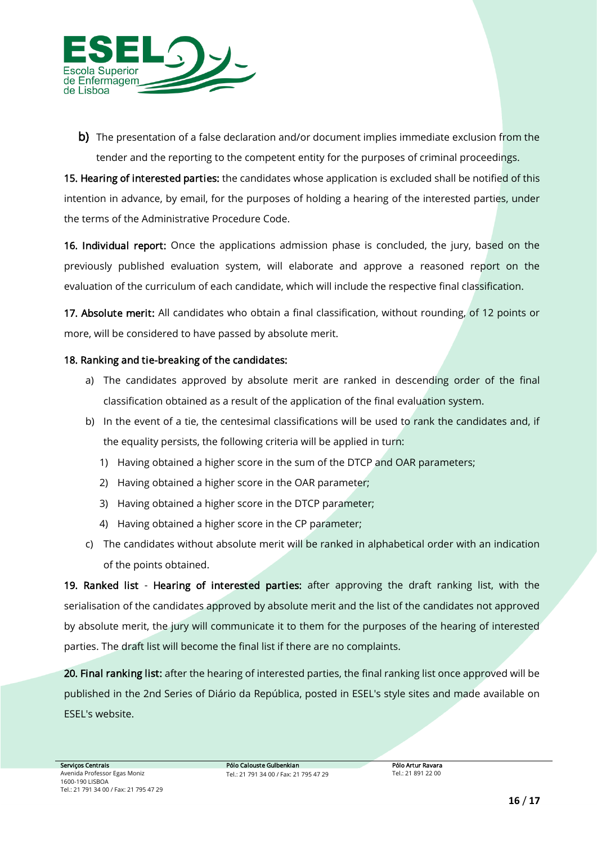

*b) The presentation of a false declaration and/or document implies immediate exclusion from the tender and the reporting to the competent entity for the purposes of criminal proceedings.*

*15. Hearing of interested parties: the candidates whose application is excluded shall be notified of this intention in advance, by email, for the purposes of holding a hearing of the interested parties, under the terms of the Administrative Procedure Code.*

*16. Individual report: Once the applications admission phase is concluded, the jury, based on the previously published evaluation system, will elaborate and approve a reasoned report on the evaluation of the curriculum of each candidate, which will include the respective final classification.*

*17. Absolute merit: All candidates who obtain a final classification, without rounding, of 12 points or more, will be considered to have passed by absolute merit.*

## *18. Ranking and tie-breaking of the candidates:*

- a) The candidates approved by absolute merit are ranked in descending order of the final *classification obtained as a result of the application of the final evaluation system.*
- *b) In the event of a tie, the centesimal classifications will be used to rank the candidates and, if the equality persists, the following criteria will be applied in turn:* 
	- *1) Having obtained a higher score in the sum of the DTCP and OAR parameters;*
	- *2) Having obtained a higher score in the OAR parameter;*
	- *3) Having obtained a higher score in the DTCP parameter;*
	- *4) Having obtained a higher score in the CP parameter;*
- *c) The candidates without absolute merit will be ranked in alphabetical order with an indication of the points obtained.*

*19. Ranked list - Hearing of interested parties: after approving the draft ranking list, with the serialisation of the candidates approved by absolute merit and the list of the candidates not approved by absolute merit, the jury will communicate it to them for the purposes of the hearing of interested parties. The draft list will become the final list if there are no complaints.*

*20. Final ranking list: after the hearing of interested parties, the final ranking list once approved will be published in the 2nd Series of Diário da República, posted in ESEL's style sites and made available on ESEL's website.*